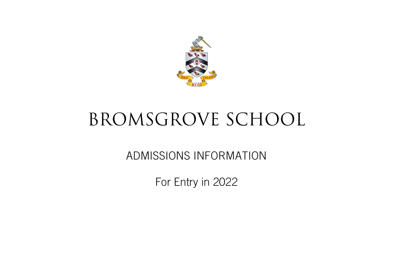

# BROMSGROVE SCHOOL

ADMISSIONS INFORMATION

For Entry in 2022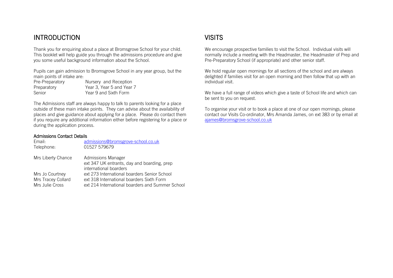# INTRODUCTION

Thank you for enquiring about a place at Bromsgrove School for your child. This booklet will help guide you through the admissions procedure and give you some useful background information about the School.

Pupils can gain admission to Bromsgrove School in any year group, but the main points of intake are:

| Pre-Preparatory | Nursery and Reception     |
|-----------------|---------------------------|
| Preparatory     | Year 3, Year 5 and Year 7 |
| Senior          | Year 9 and Sixth Form     |

The Admissions staff are always happy to talk to parents looking for a place outside of these main intake points. They can advise about the availability of places and give guidance about applying for a place. Please do contact them if you require any additional information either before registering for a place or during the application process.

# Admissions Contact Details

| Email:<br>Telephone: | admissions@bromsgrove-school.co.uk<br>01527 579679                                          |
|----------------------|---------------------------------------------------------------------------------------------|
| Mrs Liberty Chance   | Admissions Manager<br>ext 347 UK entrants, day and boarding, prep<br>international boarders |
| Mrs Jo Courtney      | ext 273 International boarders Senior School                                                |
| Mrs Tracey Collard   | ext 318 International boarders Sixth Form                                                   |
| Mrs Julie Cross      | ext 214 International boarders and Summer School                                            |

# **VISITS**

We encourage prospective families to visit the School. Individual visits will normally include a meeting with the Headmaster, the Headmaster of Prep and Pre-Preparatory School (if appropriate) and other senior staff.

We hold regular open mornings for all sections of the school and are always delighted if families visit for an open morning and then follow that up with an individual visit.

We have a full range of videos which give a taste of School life and which can be sent to you on request.

To organise your visit or to book a place at one of our open mornings, please contact our Visits Co-ordinator, Mrs Amanda James, on ext 383 or by email at <ajames@bromsgrove-school.co.uk>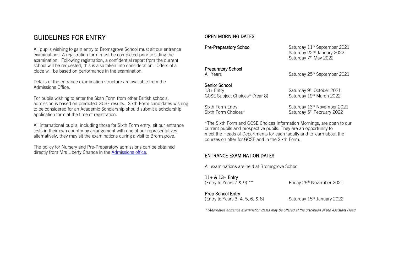# GUIDELINES FOR ENTRY

All pupils wishing to gain entry to Bromsgrove School must sit our entrance examinations. A registration form must be completed prior to sitting the examination. Following registration, a confidential report from the current school will be requested, this is also taken into consideration. Offers of a place will be based on performance in the examination.

Details of the entrance examination structure are available from the Admissions Office.

For pupils wishing to enter the Sixth Form from other British schools, admission is based on predicted GCSE results. Sixth Form candidates wishing to be considered for an Academic Scholarship should submit a scholarship application form at the time of registration.

All international pupils, including those for Sixth Form entry, sit our entrance tests in their own country by arrangement with one of our representatives, alternatively, they may sit the examinations during a visit to Bromsgrove.

The policy for Nursery and Pre-Preparatory admissions can be obtained directly from Mrs Liberty Chance in the [Admissions office.](mailto:lgchance@bromsgrove-school.co.uk)

# OPEN MORNING DATES

Pre-Preparatory School

# Preparatory School

# Senior School

13+ Entry Saturday 9<sup>th</sup> October 2021 GCSE Subject Choices\* (Year 8) Saturday 19th March 2022

Sixth Form Choices\*

Saturday 11<sup>th</sup> September 2021 Saturday 22<sup>nd</sup> January 2022 Saturday 7<sup>th</sup> May 2022

All Years **Saturday 25th September 2021** 

Sixth Form Entry Saturday 13<sup>th</sup> November 2021 Saturday 5<sup>th</sup> February 2022

\*The Sixth Form and GCSE Choices Information Mornings, are open to our current pupils and prospective pupils. They are an opportunity to meet the Heads of Departments for each faculty and to learn about the courses on offer for GCSE and in the Sixth Form.

# ENTRANCE EXAMINATION DATES

All examinations are held at Bromsgrove School

11+ & 13+ Entry<br>(Entry to Years 7 & 9) \*\*

Friday 26<sup>th</sup> November 2021

Prep School Entry  $(Entry to Years 3, 4, 5, 6, 8, 8)$  Saturday  $15<sup>th</sup>$  January 2022

\*\*Alternative entrance examination dates may be offered at the discretion of the Assistant Head.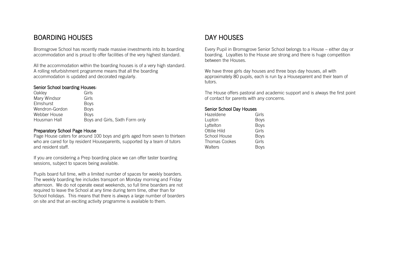# BOARDING HOUSES

Bromsgrove School has recently made massive investments into its boarding accommodation and is proud to offer facilities of the very highest standard.

All the accommodation within the boarding houses is of a very high standard. A rolling refurbishment programme means that all the boarding accommodation is updated and decorated regularly.

# Senior School boarding Houses:

| Oakley         | Girls                           |
|----------------|---------------------------------|
| Mary Windsor   | Girls                           |
| Elmshurst      | <b>Boys</b>                     |
| Wendron-Gordon | <b>Bovs</b>                     |
| Webber House   | <b>Boys</b>                     |
| Housman Hall   | Boys and Girls, Sixth Form only |

# Preparatory School Page House

Page House caters for around 100 boys and girls aged from seven to thirteen who are cared for by resident Houseparents, supported by a team of tutors and resident staff.

If you are considering a Prep boarding place we can offer taster boarding sessions, subject to spaces being available.

Pupils board full time, with a limited number of spaces for weekly boarders. The weekly boarding fee includes transport on Monday morning and Friday afternoon. We do not operate exeat weekends, so full time boarders are not required to leave the School at any time during term time, other than for School holidays. This means that there is always a large number of boarders on site and that an exciting activity programme is available to them.

# DAY HOUSES

Every Pupil in Bromsgrove Senior School belongs to a House – either day or boarding. Loyalties to the House are strong and there is huge competition between the Houses.

We have three girls day houses and three boys day houses, all with approximately 80 pupils, each is run by a Houseparent and their team of tutors.

The House offers pastoral and academic support and is always the first point of contact for parents with any concerns.

# Senior School Day Houses

| Girls       |
|-------------|
| <b>Boys</b> |
| <b>Boys</b> |
| Girls       |
| <b>Boys</b> |
| Girls       |
| <b>Boys</b> |
|             |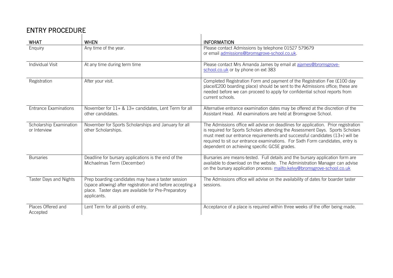# ENTRY PROCEDURE

| ENIRI PRUUEDURE                         |                                                                                                                                                                                         |                                                                                                                                                                                                                                                                                                                                                                                       |  |
|-----------------------------------------|-----------------------------------------------------------------------------------------------------------------------------------------------------------------------------------------|---------------------------------------------------------------------------------------------------------------------------------------------------------------------------------------------------------------------------------------------------------------------------------------------------------------------------------------------------------------------------------------|--|
| <b>WHAT</b>                             | <b>WHEN</b>                                                                                                                                                                             | <b>INFORMATION</b>                                                                                                                                                                                                                                                                                                                                                                    |  |
| Enquiry                                 | Any time of the year.                                                                                                                                                                   | Please contact Admissions by telephone 01527 579679<br>or email admissions@bromsgrove-school.co.uk.                                                                                                                                                                                                                                                                                   |  |
| <b>Individual Visit</b>                 | At any time during term time                                                                                                                                                            | Please contact Mrs Amanda James by email at ajames@bromsgrove-<br>school.co.uk or by phone on ext 383                                                                                                                                                                                                                                                                                 |  |
| Registration                            | After your visit.                                                                                                                                                                       | Completed Registration Form and payment of the Registration Fee (£100 day<br>place/£200 boarding place) should be sent to the Admissions office; these are<br>needed before we can proceed to apply for confidential school reports from<br>current schools.                                                                                                                          |  |
| <b>Entrance Examinations</b>            | November for 11+ & 13+ candidates, Lent Term for all<br>other candidates.                                                                                                               | Alternative entrance examination dates may be offered at the discretion of the<br>Assistant Head. All examinations are held at Bromsgrove School.                                                                                                                                                                                                                                     |  |
| Scholarship Examination<br>or Interview | November for Sports Scholarships and January for all<br>other Scholarships.                                                                                                             | The Admissions office will advise on deadlines for application. Prior registration<br>is required for Sports Scholars attending the Assessment Days. Sports Scholars<br>must meet our entrance requirements and successful candidates (13+) will be<br>required to sit our entrance examinations. For Sixth Form candidates, entry is<br>dependent on achieving specific GCSE grades. |  |
| <b>Bursaries</b>                        | Deadline for bursary applications is the end of the<br>Michaelmas Term (December)                                                                                                       | Bursaries are means-tested. Full details and the bursary application form are<br>available to download on the website. The Administration Manager can advise<br>on the bursary application process: mailto:kelvy@bromsgrove-school.co.uk                                                                                                                                              |  |
| <b>Taster Days and Nights</b>           | Prep boarding candidates may have a taster session<br>(space allowing) after registration and before accepting a<br>place. Taster days are available for Pre-Preparatory<br>applicants. | The Admissions office will advise on the availability of dates for boarder taster<br>sessions.                                                                                                                                                                                                                                                                                        |  |
| Places Offered and<br>Accepted          | Lent Term for all points of entry.                                                                                                                                                      | Acceptance of a place is required within three weeks of the offer being made.                                                                                                                                                                                                                                                                                                         |  |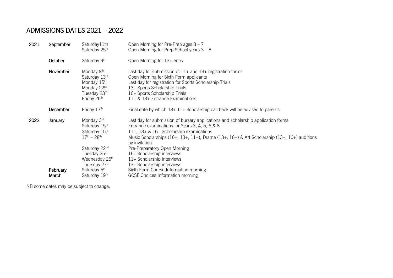# ADMISSIONS DATES 2021 – 2022

| 2021 | September | Saturday11th<br>Saturday 25th                                                                | Open Morning for Pre-Prep ages $3 - 7$<br>Open Morning for Prep School years $3 - 8$                                                                                                                                                                                                            |
|------|-----------|----------------------------------------------------------------------------------------------|-------------------------------------------------------------------------------------------------------------------------------------------------------------------------------------------------------------------------------------------------------------------------------------------------|
|      | October   | Saturday 9th                                                                                 | Open Morning for 13+ entry                                                                                                                                                                                                                                                                      |
|      | November  | Monday 8th<br>Saturday 13th<br>Monday 15th<br>Monday 22nd<br>Tuesday 23rd<br>Friday 26th     | Last day for submission of $11+$ and $13+$ registration forms<br>Open Morning for Sixth Form applicants<br>Last day for registration for Sports Scholarship Trials<br>13+ Sports Scholarship Trials<br>16+ Sports Scholarship Trials<br>$11+$ & $13+$ Entrance Examinations                     |
|      | December  | Friday 17th                                                                                  | Final date by which $13+11+$ Scholarship call back will be advised to parents                                                                                                                                                                                                                   |
| 2022 | January   | Monday 3rd<br>Saturday 15th<br>Saturday 15th<br>$17^{th} - 28^{th}$                          | Last day for submission of bursary applications and scholarship application forms<br>Entrance examinations for Years 3, 4, 5, 6 & 8<br>11+, 13+ & 16+ Scholarship examinations<br>Music Scholarships (16+, 13+, 11+), Drama (13+, 16+) & Art Scholarship (13+, 16+) auditions<br>by invitation. |
|      | February  | Saturday 22nd<br>Tuesday 25th<br>Wednesday 26th<br>Thursday 27th<br>Saturday 5 <sup>th</sup> | Pre-Preparatory Open Morning<br>16+ Scholarship interviews<br>11+ Scholarship interviews<br>13+ Scholarship interviews<br>Sixth Form Course Information morning                                                                                                                                 |
|      | March     | Saturday 19th                                                                                | <b>GCSE Choices Information morning</b>                                                                                                                                                                                                                                                         |

NB some dates may be subject to change.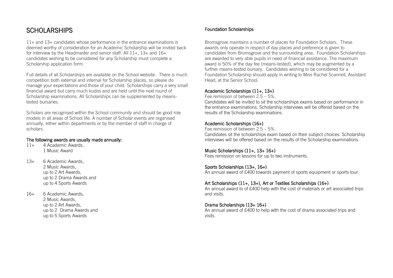# **SCHOLARSHIPS**

11+ and 13+ candidates whose performance in the entrance examinations is deemed worthy of consideration for an Academic Scholarship will be invited back for interview by the Headmaster and senior staff. All  $11+$ ,  $13+$  and  $16+$ candidates wishing to be considered for any Scholarship must complete a Scholarship application form.

Full details of all Scholarships are available on the School website. There is much competition both external and internal for Scholarship places, so please do manage your expectations and those of your child. Scholarships carry a very small financial award but carry much kudos and are held until the next round of Scholarship examinations. All Scholarships can be supplemented by meanstested bursaries.

Scholars are recognised within the School community and should be good role models in all areas of School life. A number of Scholar events are organised annually, either within departments or by the member of staff in charge of scholars.

# The following awards are usually made annually:

- 11+ 4 Academic Awards, 1 Music Award
- 13+ 6 Academic Awards, 2 Music Awards, up to 2 Art Awards, up to 2 Drama Awards and up to 4 Sports Awards
- 16+ 6 Academic Awards, 2 Music Awards, up to 2 Art Awards, up to 2 Drama Awards and up to 5 Sports Awards

# Foundation Scholarships

Bromsgrove maintains a number of places for Foundation Scholars. These awards only operate in respect of day places and preference is given to candidates from Bromsgrove and the surrounding area. Foundation Scholarships are awarded to very able pupils in need of financial assistance. The maximum award is 50% of the day fee (means-tested), which may be augmented by a further means-tested bursary. Candidates wishing to be considered for a Foundation Scholarship should apply in writing to Miss Rachel Scannell, Assistant Head, at the Senior School.

# Academic Scholarships (11+, 13+)

Fee remission of between  $2.5 - 5\%$ 

Candidates will be invited to sit the scholarships exams based on performance in the entrance examinations. Scholarship interviews will be offered based on the results of the Scholarship examinations.

# Academic Scholarships (16+)

Fee remission of between 2.5 – 5%.

Candidates sit the scholarships exam based on their subject choices. Scholarship interviews will be offered based on the results of the Scholarship examinations.

# Music Scholarships (11+, 13+ 16+)

Fees remission on lessons for up to two instruments.

# Sports Scholarships (13+, 16+)

An annual award of £400 towards payment of sports equipment or sports tour.

# Art Scholarships (11+, 13+), Art or Textiles Scholarships (16+)

An annual award to of £400 help with the cost of materials or art associated trips and visits.

# Drama Scholarships (13+ 16+)

An annual award of £400 to help with the cost of drama associated trips and visits.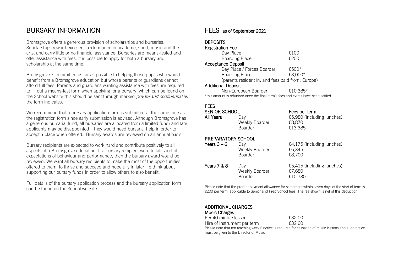# BURSARY INFORMATION

Bromsgrove offers a generous provision of scholarships and bursaries. Scholarships reward excellent performance in academe, sport, music and the arts, and carry little or no financial assistance. Bursaries are means-tested and offer assistance with fees. It is possible to apply for both a bursary and scholarship at the same time.

Bromsgrove is committed as far as possible to helping those pupils who would benefit from a Bromsgrove education but whose parents or guardians cannot afford full fees. Parents and guardians wanting assistance with fees are required to fill out a means-test form when applying for a bursary, which can be found on the School website this should be sent through marked *private and confidential* as the form indicates.

We recommend that a bursary application form is submitted at the same time as the registration form since early submission is advised. Although Bromsgrove has a generous bursarial fund, all bursaries are allocated from a limited fund; and late applicants may be disappointed if they would need bursarial help in order to accept a place when offered. Bursary awards are reviewed on an annual basis.

Bursary recipients are expected to work hard and contribute positively to all aspects of a Bromsgrove education. If a bursary recipient were to fall short of expectations of behaviour and performance, then the bursary award would be reviewed. We want all bursary recipients to make the most of the opportunities offered to them, to thrive and succeed and hopefully in later life think about supporting our bursary funds in order to allow others to also benefit.

Full details of the bursary application process and the bursary application form can be found on the School website.

# FEES as of September 2021

# **DEPOSITS**

| <b>Registration Fee</b>                           |         |  |
|---------------------------------------------------|---------|--|
| Day Place                                         | £100    |  |
| <b>Boarding Place</b>                             | f.200   |  |
| <b>Acceptance Deposit</b>                         |         |  |
| Day Place / Forces Boarder                        | $£500*$ |  |
| <b>Boarding Place</b>                             | £3,000* |  |
| (parents resident in, and fees paid from, Europe) |         |  |
| <b>Additional Deposit</b>                         |         |  |

Non-European Boarder E10.385\* \*this amount is refunded once the final term's fees and extras have been settled.

# FEES

| SENIOR SCHOOL |                | Fees per term              |  |
|---------------|----------------|----------------------------|--|
| All Years     | Dav            | £5,980 (including lunches) |  |
|               | Weekly Boarder | £8.870                     |  |
|               | <b>Boarder</b> | £13.385                    |  |

# PREPARATORY SCHOOL

| Years $3-6$ | Dav<br>Weekly Boarder<br><b>Boarder</b> | £4,175 (including lunches)<br>£6.345<br>£8,700  |
|-------------|-----------------------------------------|-------------------------------------------------|
| Years 7 & 8 | Dav<br>Weekly Boarder<br><b>Boarder</b> | £5,415 (including lunches)<br>£7,680<br>£10,730 |

Please note that the prompt payment allowance for settlement within seven days of the start of term is £200 per term, applicable to Senior and Prep School fees. The fee shown is net of this deduction.

### ADDITIONAL CHARGES Music Charges

| <b>MUSIC UTATES</b>         |        |
|-----------------------------|--------|
| Per 40 minute lesson        | £32.00 |
| Hire of Instrument per term | £32.00 |

Please note that ten teaching weeks' notice is required for cessation of music lessons and such notice must be given to the Director of Music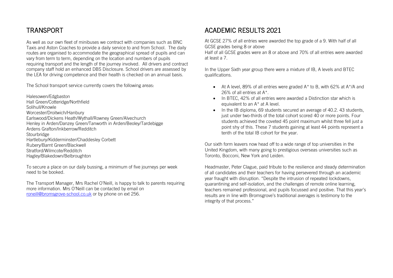# TRANSPORT

As well as our own fleet of minibuses we contract with companies such as BNC Taxis and Aston Coaches to provide a daily service to and from School. The daily routes are organised to accommodate the geographical spread of pupils and can vary from term to term, depending on the location and numbers of pupils requiring transport and the length of the journey involved. All drivers and contract company staff hold an enhanced DBS Disclosure. School drivers are assessed by the LEA for driving competence and their health is checked on an annual basis.

The School transport service currently covers the following areas:

Halesowen/Edgbaston Hall Green/Cotteridge/Northfield Solihull/Knowle Worcester/Droitwich/Hanbury Earlswood/Dickens Heath/Wythall/Rowney Green/Alvechurch Henley in Arden/Danzey Green/Tanworth in Arden/Beoley/Tardebigge Ardens Grafton/Inkberrow/Redditch Stourbridge Hartlebury/Kidderminster/Chaddesley Corbett Rubery/Barnt Green/Blackwell Stratford/Wilmcote/Redditch Hagley/Blakedown/Belbroughton

To secure a place on our daily bussing, a minimum of five journeys per week need to be booked.

The Transport Manager, Mrs Rachel O'Neill, is happy to talk to parents requiring more information. Mrs O'Neill can be contacted by email on [roneill@bromsgrove-school.co.uk](roneill@bromsgrove-school.co.uk%20) or by phone on ext 256.

# ACADEMIC RESULTS 2021

At GCSE 27% of all entries were awarded the top grade of a 9. With half of all GCSE grades being 8 or above

Half of all GCSE grades were an 8 or above and 70% of all entries were awarded at least a 7.

In the Upper Sixth year group there were a mixture of IB, A levels and BTEC qualifications.

- $\bullet$  At A level, 89% of all entries were graded A\* to B, with 62% at A\*/A and 26% of all entries at A\*.
- In BTEC, 42% of all entries were awarded a Distinction star which is equivalent to an A\* at A level.
- In the IB diploma, 69 students secured an average of 40.2.43 students, just under two-thirds of the total cohort scored 40 or more points. Four students achieved the coveted 45 point maximum whilst three fell just a point shy of this. These 7 students gaining at least 44 points represent a tenth of the total IB cohort for the year.

Our sixth form leavers now head off to a wide range of top universities in the United Kingdom, with many going to prestigious overseas universities such as Toronto, Bocconi, New York and Leiden.

Headmaster, Peter Clague, paid tribute to the resilience and steady determination of all candidates and their teachers for having persevered through an academic year fraught with disruption. "Despite the intrusion of repeated lockdowns, quarantining and self-isolation, and the challenges of remote online learning, teachers remained professional, and pupils focussed and positive. That this year's results are in line with Bromsgrove's traditional averages is testimony to the integrity of that process."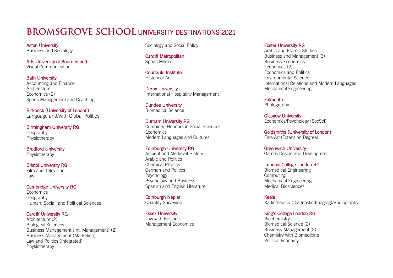# RROMSGROVE SCHOOL UNIVERSITY DESTINATIONS 2021

Aston University Business and Sociology

Arts University of Bournemouth Visual Communication

Bath University Accounting and Finance **Architecture** Economics (2) Sports Management and Coaching

Birkbeck (University of London) Language and/with Global Politics

Birmingham University RG Geography Physiotherapy

Bradford University Physiotherapy

Bristol University RG Film and Television Law

Cambridge University RG **Economics** Geography Human, Social, and Political Sciences

Cardiff University RG Architecture (2) Biological Sciences Business Management (Int. Management) (2) Business Management (Marketing) Law and Politics (Integrated) Physiotherapy

Sociology and Social Policy

Cardiff Metropolitan Sports Media

Courtauld Institute History of Art

Derby University International Hospitality Management

Dundee University Biomedical Science

Durham University RG Combined Honours in Social Sciences Economics Modern Languages and Cultures

# Edinburgh University RG

Ancient and Medieval History Arabic and Politics Chemical Physics German and Politics Psychology Psychology and Business Spanish and English Literature

Edinburgh Napier Quantity Surveying

Essex University Law with Business Management Economics

# Exeter University RG

Arabic and Islamic Studies Business and Management (3) Business Economics Economics (2) Economics and Politics Environmental Science International Relations and Modern Languages Mechanical Engineering

**Falmouth** Photography

Glasgow University Economics/Psychology (SocSci)

Goldsmiths (University of London) Fine Art (Extension Degree)

Greenwich University Games Design and Development

Imperial College London RG Biomedical Engineering

Computing Mechanical Engineering Medical Biosciences

Keele Radiotherapy (Diagnostic Imaging)/Radiography

King's College London RG

**Biochemistry** Biomedical Science (2) Business Management (2) Chemistry with Biomedicine Political Economy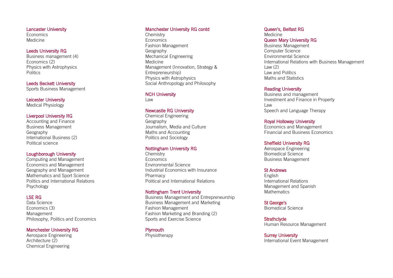Lancaster University **Economics** Medicine

### Leeds University RG

Business management (4) Economics (2) Physics with Astrophysics **Politics** 

Leeds Beckett University Sports Business Management

Leicester University Medical Physiology

### Liverpool University RG

Accounting and Finance Business Management Geography International Business (2) Political science

# Loughborough University

Computing and Management Economics and Management Geography and Management Mathematics and Sport Science Politics and International Relations Psychology

### LSE RG

Data Science Economics (3) Management Philosophy, Politics and Economics

### Manchester University RG

Aerospace Engineering Architecture (2) Chemical Engineering

### Manchester University RG contd

**Chemistry** Economics Fashion Management Geography Mechanical Engineering Medicine Management (Innovation, Strategy & Entrepreneurship) Physics with Astrophysics Social Anthropology and Philosophy

NCH University Law

### Newcastle RG University

Chemical Engineering Geography Journalism, Media and Culture Maths and Accounting Politics and Sociology

# Nottingham University RG

**Chemistry** Economics Environmental Science Industrial Economics with Insurance Pharmacy Political and International Relations Nottingham Trent University

Business Management and Entrepreneurship Business Management and Marketing Fashion Management Fashion Marketing and Branding (2) Sports and Exercise Science

# **Plymouth**

Physiotherapy

### Queen's, Belfast RG

Medicine Queen Mary University RG Business Management Computer Science Environmental Science International Relations with Business Management

Law (2) Law and Politics Maths and Statistics

### Reading University

Business and management Investment and Finance in Property Law Speech and Language Therapy

### Royal Holloway University

Economics and Management Financial and Business Economics

### Sheffield University RG

Aerospace Engineering Biomedical Science Business Management

### St Andrews

English International Relations Management and Spanish **Mathematics** 

St George's Biomedical Science

**Strathclyde** Human Resource Management

Surrey University International Event Management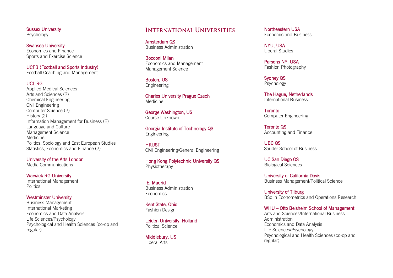Sussex University Psychology

Swansea University Economics and Finance Sports and Exercise Science

UCFB (Football and Sports Industry) Football Coaching and Management<br>UCL RG

Applied Medical Sciences Arts and Sciences (2) Chemical Engineering Civil Engineering Computer Science (2) History (2) Information Management for Business (2) Language and Culture Management Science Medicine Politics, Sociology and East European Studies Statistics, Economics and Finance (2) regundeers and Finance<br>
Economics and Finance<br>
Economics and Finance<br>
UCFB (Football and Sports Industry)<br>
Football Coaching and Management<br>
UCL RG<br>
Applied Medical Sciences<br>
Arts and Sciences (2)<br>
Chemical Engineering<br>
Ci

University of the Arts London Media Communications

Warwick RG University International Management **Politics** 

Westminster University Business Management International Marketing Economics and Data Analysis Life Sciences/Psychology Psychological and Health Sciences (co -op and

# **INTERNATIONAL UNIVERSITIES**

Amsterdam QS Business Administration

Bocconi Milan Economics and Management Management Science

Boston, US Engineering

Charles University Prague Czech Medicine

George Washington, US Course Unknown

Georgia Institute of Technology QS Engineering

**HKUST** Civil Engineering/General Engineering

Hong Kong Polytechnic University QS Physiotherapy

IE, Madrid Business Administration **Economics** 

Kent State, Ohio Fashion Design

Leiden University, Holland Political Science

Middlebury, US Liberal Arts

Northeastern USA Economic and Business

NYU, USA Liberal Studies

Parsons NY, USA Fashion Photography

Sydney QS Psychology

The Hague, Netherlands International Business

**Toronto** Computer Engineering

Toronto QS Accounting and Finance

UBC QS Sauder School of Business

UC San Diego QS Biological Sciences

University of California Davis Business Management/Political Science

University of Tilburg BSc in Econometrics and Operations Research

### WHU – Otto Beisheim School of Management

Arts and Sciences/International Business Administration Economics and Data Analysis Life Sciences/Psychology Psychological and Health Sciences (co -op and regular)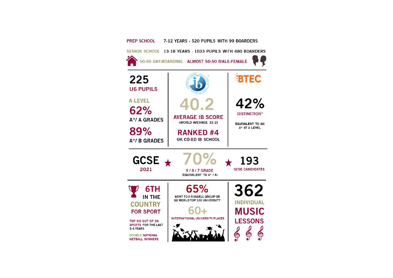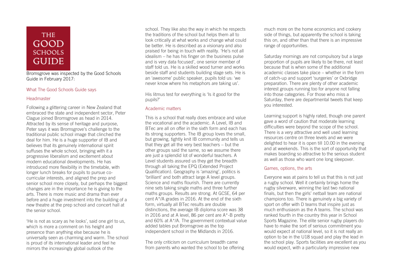# **THE GOOD SCHOOLS GUIDE**

Bromsgrove was inspected by the Good Schools Guide in February 2017:

# What The Good Schools Guide says

# **Headmaster**

Following a glittering career in New Zealand that embraced the state and independent sector, Peter Clague joined Bromsgrove as head in 2014. Attracted by its sense of heritage and purpose, Peter says it was Bromsgrove's challenge to the traditional public school image that clinched the deal for him. He is a huge supporter of IB and believes that its genuinely international spirit suffuses the whole school, bringing with it a progressive liberalism and excitement about modern educational developments. He has introduced more flexibility in the timetable, with longer lunch breaks for pupils to pursue cocurricular interests, and aligned the prep and senior school more closely, but perhaps the biggest changes are in the importance he is giving to the arts. There is more music and drama than ever before and a huge investment into the building of a new theatre at the prep school and concert hall at the senior school.

'He is not as scary as he looks', said one girl to us, which is more a comment on his height and presence than anything else because he is universally seen as charming and warm. The school is proud of its international leader and feel he mirrors the increasingly global outlook of the

school. They like also the way in which he respects the traditions of the school but helps them all to look critically at what works and change what could be better. He is described as a visionary and also praised for being in touch with reality. 'He's not all idealism – he has his finger on the business pulse and is very data focused', one senior member of staff told us. He is a skilled wood turner and works beside staff and students building stage sets. He is an 'awesome' public speaker, pupils told us: 'we never know where his metaphors are taking us'.

His litmus test for everything is 'Is it good for the pupils?'

# Academic matters

This is a school that really does embrace and value the vocational and the academic. A Level, IB and BTec are all on offer in the sixth form and each has its strong supporters. The IB group loves the small, but growing, tightly knit IB community and tells us that they get all the very best teachers – but the other groups said the same, so we assume there are just a splendid lot of wonderful teachers. A Level students assured us they get the breadth through all taking the EPQ (Extended Project Qualification). Geography is 'amazing', politics is 'brilliant' and both attract large A level groups. Science and maths flourish. There are currently nine sets taking single maths and three further maths groups. Results are strong. At GCSE, 64 per cent A\*/A grades in 2016. At the end of the sixth form, virtually all BTec results are double distinctions, the average IB diploma score was 38 in 2016 and at A level, 86 per cent are A\*-B pretty and 60% at A\*/A. The government contextual value added tables put Bromsgrove as the top independent school in the Midlands in 2016.

The only criticism on curriculum breadth came from parents who wanted the school to be offering much more on the home economics and cookery side of things, but apparently the school is taking this on, and other than that there is an impressive range of opportunities.

Saturday mornings are not compulsory but a large proportion of pupils are likely to be there, not least because that is when some of the additional academic classes take place – whether in the form of catch-up and support 'surgeries' or Oxbridge preparation. There are plenty of other academic interest groups running too for anyone not falling into those categories. For those who miss a Saturday, there are departmental tweets that keep you interested.

Learning support is highly rated, though one parent gave a word of caution that moderate learning difficulties were beyond the scope of the school. There is a very attractive and well used learning resources centre on three levels and we were delighted to hear it is open till 10.00 in the evening and at weekends. This is the sort of opportunity that makes boarding so attractive to the serious student as well as those who want one long sleepover.

# Games, options, the arts

Everyone was at pains to tell us that this is not just a rugby school. Well it certainly brings home the rugby silverware, winning the last two national finals, but then the girls' netball team are national champions too. There is genuinely a big variety of sport on offer with D teams that inspire just as much enthusiasm as the A teams. The school was ranked fourth in the country this year in School Sports Magazine. The elite senior rugby players do have to make the sort of serious commitment you would expect at national level, so it is not really an option to be in the U18 squad and play the lead in the school play. Sports facilities are excellent as you would expect, with a particularly impressive new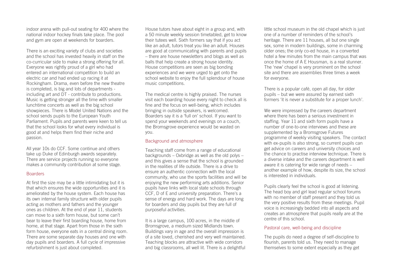indoor arena with pull-out seating for 400 where the national indoor hockey finals take place. The pool and gym are open at weekends for boarders.

There is an exciting variety of clubs and societies and the school has invested heavily in staff on the co-curricular side to make a strong offering for all. Everyone was rightly proud of a girl who had entered an international competition to build an electric car and had ended up racing it at Rockingham. Drama, even before the new theatre is completed, is big and lots of departments including art and DT - contribute to productions. Music is getting stronger all the time with smaller lunchtime concerts as well as the big school showpieces. There is Model United Nations and the school sends pupils to the European Youth Parliament. Pupils and parents were keen to tell us that the school looks for what every individual is good at and helps them find their niche and passion.

All year 10s do CCF. Some continue and others take up Duke of Edinburgh awards separately. There are service projects running so everyone makes a community contribution at some stage.

# **Boarders**

At first the size may be a little intimidating but it is that which ensures the wide opportunities and it is ameliorated by the house system. Each house has its own internal family structure with older pupils acting as mothers and fathers and the younger ones as children. At the end of year 11, students can move to a sixth form house, but some can't bear to leave their first boarding house, home from home, at that stage. Apart from those in the sixth form house, everyone eats in a central dining room. There are some separate day houses and one with day pupils and boarders. A full cycle of impressive refurbishment is just about completed.

House tutors have about eight in a group and, with a 50 minute weekly session timetabled, get to know their tutees well. Sixth formers say that if you act like an adult, tutors treat you like an adult. Houses are good at communicating with parents and pupils – there are house newsletters and blogs as well as balls that help create a strong house identity. House competitions are seen as big bonding experiences and we were urged to get onto the school website to enjoy the full splendour of house music competitions.

The medical centre is highly praised. The nurses visit each boarding house every night to check all is fine and the focus on well-being, which includes bringing in outside speakers, is welcomed. Boarders say it is a 'full on' school. If you want to spend your weekends and evenings on a couch, the Bromsgrove experience would be wasted on you.

# Background and atmosphere

Teaching staff come from a range of educational backgrounds – Oxbridge as well as the old polys – and this gives a sense that the school is grounded in the realities of life outside. There is a drive to ensure an authentic connection with the local community, who use the sports facilities and will be enjoying the new performing arts additions. Senior pupils have links with local state schools through CCF, D of E and university preparation. There's a sense of energy and hard work. The days are long for boarders and day pupils but they are full of purposeful activities.

It is a large campus, 100 acres, in the middle of Bromsgrove, a medium sized Midlands town. Buildings vary in age and the overall impression is of a site loved, cherished and very well maintained. Teaching blocks are attractive with wide corridors and big classrooms, all well lit. There is a delightful little school museum in the old chapel which is just one of a number of reminders of the school's heritage. There are 11 houses, all but one single sex, some in modern buildings, some in charming older ones; the only co-ed house, in a converted hotel a few minutes from the main campus that was once the home of A E Housman, is a real stunner. The 'new' chapel is very prominent on the school site and there are assemblies three times a week for everyone.

There is a popular café, open all day, for older pupils – but we were assured by earnest sixth formers 'it is never a substitute for a proper lunch'.

We were impressed by the careers department where there has been a serious investment in staffing. Year 11 and sixth form pupils have a number of one-to-one interviews and these are supplemented by a Bromsgrove Futures programme of weekly visiting speakers. The contact with ex-pupils is also strong, so current pupils can get advice on careers and university choices and the chance to practise interview technique. There is a diverse intake and the careers department is well aware it is catering for wide range of needs – another example of how, despite its size, the school is interested in individuals.

Pupils clearly feel the school is good at listening. The head boy and girl lead regular school forums with no member of staff present and they told us the very positive results from these meetings. Pupil voice is increasingly bedded into all aspects and creates an atmosphere that pupils really are at the centre of this school.

# Pastoral care, well-being and discipline

The pupils do need a degree of self-discipline to flourish, parents told us. They need to manage themselves to some extent especially as they get